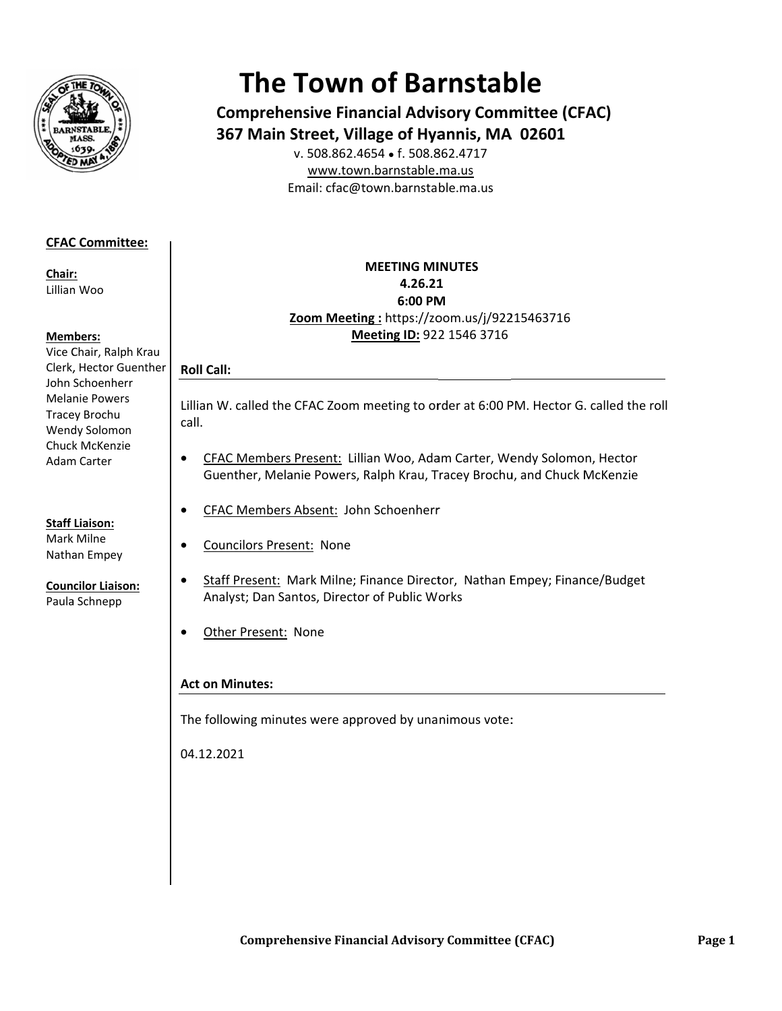

# **The Town of Barnstable**

**Comprehensive Financial Advisory Committee (CFAC)** 367 Main Street, Village of Hyannis, MA 02601

v. 508.862.4654 • f. 508.862.4717 www.town.barnstable.ma.us Email: cfac@town.barnstable.ma.us

## **CFAC Committee:**

Chair: Lillian Woo

#### **Members:**

Vice Chair, Ralph Krau Clerk, Hector Guenther John Schoenherr **Melanie Powers** Tracey Brochu Wendy Solomon Chuck McKenzie **Adam Carter** 

**Staff Liaison:** Mark Milne Nathan Empey

**Councilor Liaison:** 

Paula Schnepp

**MEETING MINUTES** 4.26.21 6:00 PM Zoom Meeting: https://zoom.us/j/92215463716 Meeting ID: 922 1546 3716

## **Roll Call:**

 $\bullet$ 

 $\bullet$ 

 $\bullet$ 

Lillian W. called the CFAC Zoom meeting to order at 6:00 PM. Hector G. called the roll call.

- CFAC Members Present: Lillian Woo, Adam Carter, Wendy Solomon, Hector  $\bullet$ Guenther, Melanie Powers, Ralph Krau, Tracey Brochu, and Chuck McKenzie
	- CFAC Members Absent: John Schoenherr
	- **Councilors Present: None**
	- Staff Present: Mark Milne; Finance Director, Nathan Empey; Finance/Budget Analyst; Dan Santos, Director of Public Works
- Other Present: None  $\bullet$

## **Act on Minutes:**

The following minutes were approved by unanimous vote:

04.12.2021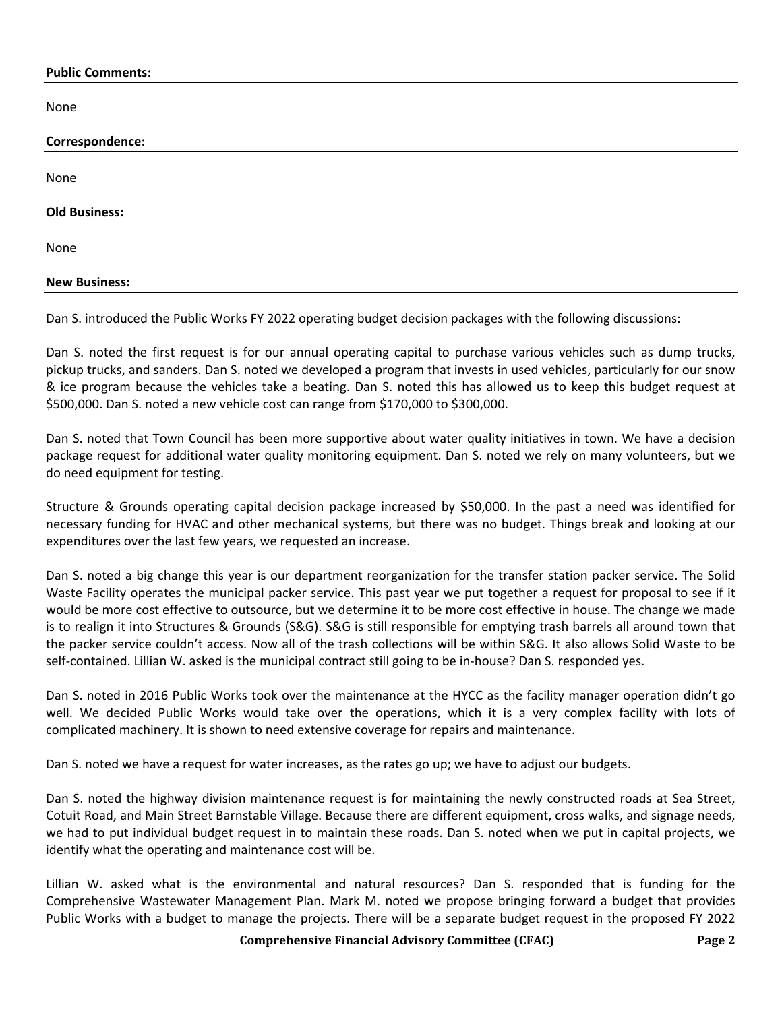#### **Public Comments:**

None

| .                    |  |
|----------------------|--|
| Correspondence:      |  |
| None                 |  |
| <b>Old Business:</b> |  |
| None                 |  |
| <b>New Business:</b> |  |

Dan S. introduced the Public Works FY 2022 operating budget decision packages with the following discussions:

Dan S. noted the first request is for our annual operating capital to purchase various vehicles such as dump trucks, pickup trucks, and sanders. Dan S. noted we developed a program that invests in used vehicles, particularly for our snow & ice program because the vehicles take a beating. Dan S. noted this has allowed us to keep this budget request at \$500,000. Dan S. noted a new vehicle cost can range from \$170,000 to \$300,000.

Dan S. noted that Town Council has been more supportive about water quality initiatives in town. We have a decision package request for additional water quality monitoring equipment. Dan S. noted we rely on many volunteers, but we do need equipment for testing.

Structure & Grounds operating capital decision package increased by \$50,000. In the past a need was identified for necessary funding for HVAC and other mechanical systems, but there was no budget. Things break and looking at our expenditures over the last few years, we requested an increase.

Dan S. noted a big change this year is our department reorganization for the transfer station packer service. The Solid Waste Facility operates the municipal packer service. This past year we put together a request for proposal to see if it would be more cost effective to outsource, but we determine it to be more cost effective in house. The change we made is to realign it into Structures & Grounds (S&G). S&G is still responsible for emptying trash barrels all around town that the packer service couldn't access. Now all of the trash collections will be within S&G. It also allows Solid Waste to be self-contained. Lillian W. asked is the municipal contract still going to be in-house? Dan S. responded yes.

Dan S. noted in 2016 Public Works took over the maintenance at the HYCC as the facility manager operation didn't go well. We decided Public Works would take over the operations, which it is a very complex facility with lots of complicated machinery. It is shown to need extensive coverage for repairs and maintenance.

Dan S. noted we have a request for water increases, as the rates go up; we have to adjust our budgets.

Dan S. noted the highway division maintenance request is for maintaining the newly constructed roads at Sea Street, Cotuit Road, and Main Street Barnstable Village. Because there are different equipment, cross walks, and signage needs, we had to put individual budget request in to maintain these roads. Dan S. noted when we put in capital projects, we identify what the operating and maintenance cost will be.

Lillian W. asked what is the environmental and natural resources? Dan S. responded that is funding for the Comprehensive Wastewater Management Plan. Mark M. noted we propose bringing forward a budget that provides Public Works with a budget to manage the projects. There will be a separate budget request in the proposed FY 2022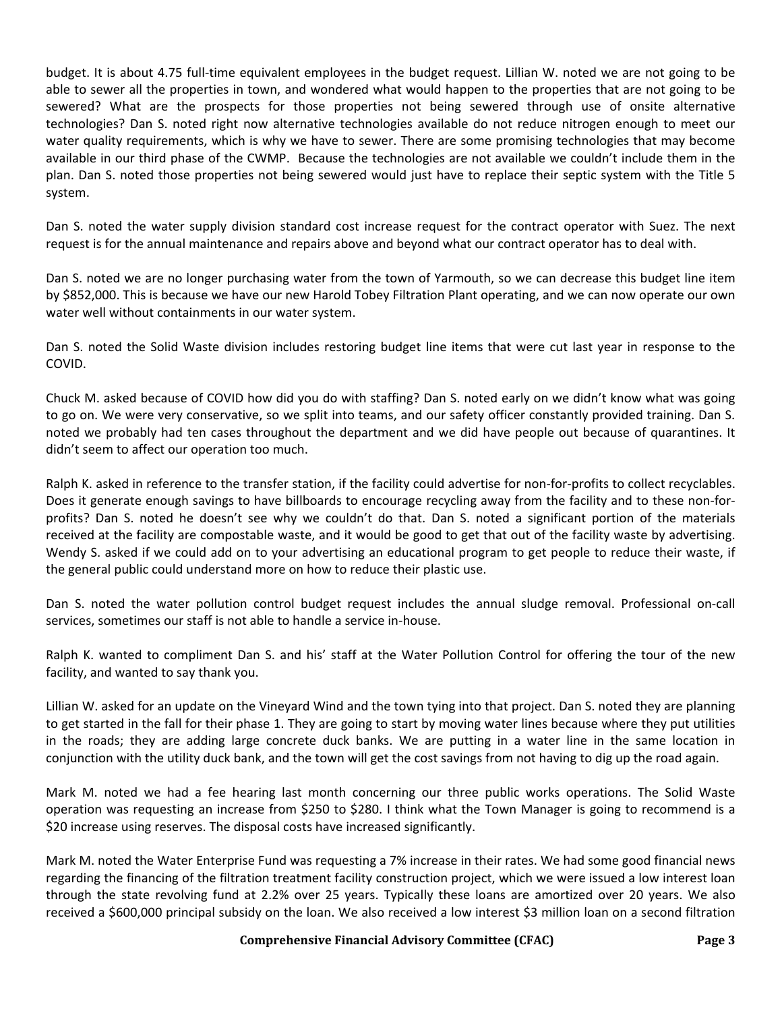budget. It is about 4.75 full-time equivalent employees in the budget request. Lillian W. noted we are not going to be able to sewer all the properties in town, and wondered what would happen to the properties that are not going to be sewered? What are the prospects for those properties not being sewered through use of onsite alternative technologies? Dan S. noted right now alternative technologies available do not reduce nitrogen enough to meet our water quality requirements, which is why we have to sewer. There are some promising technologies that may become available in our third phase of the CWMP. Because the technologies are not available we couldn't include them in the plan. Dan S. noted those properties not being sewered would just have to replace their septic system with the Title 5 system.

Dan S. noted the water supply division standard cost increase request for the contract operator with Suez. The next request is for the annual maintenance and repairs above and beyond what our contract operator has to deal with.

Dan S. noted we are no longer purchasing water from the town of Yarmouth, so we can decrease this budget line item by \$852,000. This is because we have our new Harold Tobey Filtration Plant operating, and we can now operate our own water well without containments in our water system.

Dan S. noted the Solid Waste division includes restoring budget line items that were cut last year in response to the COVID.

Chuck M. asked because of COVID how did you do with staffing? Dan S. noted early on we didn't know what was going to go on. We were very conservative, so we split into teams, and our safety officer constantly provided training. Dan S. noted we probably had ten cases throughout the department and we did have people out because of quarantines. It didn't seem to affect our operation too much.

Ralph K. asked in reference to the transfer station, if the facility could advertise for non-for-profits to collect recyclables. Does it generate enough savings to have billboards to encourage recycling away from the facility and to these non-forprofits? Dan S. noted he doesn't see why we couldn't do that. Dan S. noted a significant portion of the materials received at the facility are compostable waste, and it would be good to get that out of the facility waste by advertising. Wendy S. asked if we could add on to your advertising an educational program to get people to reduce their waste, if the general public could understand more on how to reduce their plastic use.

Dan S. noted the water pollution control budget request includes the annual sludge removal. Professional on-call services, sometimes our staff is not able to handle a service in-house.

Ralph K. wanted to compliment Dan S. and his' staff at the Water Pollution Control for offering the tour of the new facility, and wanted to say thank you.

Lillian W. asked for an update on the Vineyard Wind and the town tying into that project. Dan S. noted they are planning to get started in the fall for their phase 1. They are going to start by moving water lines because where they put utilities in the roads; they are adding large concrete duck banks. We are putting in a water line in the same location in conjunction with the utility duck bank, and the town will get the cost savings from not having to dig up the road again.

Mark M. noted we had a fee hearing last month concerning our three public works operations. The Solid Waste operation was requesting an increase from \$250 to \$280. I think what the Town Manager is going to recommend is a \$20 increase using reserves. The disposal costs have increased significantly.

Mark M. noted the Water Enterprise Fund was requesting a 7% increase in their rates. We had some good financial news regarding the financing of the filtration treatment facility construction project, which we were issued a low interest loan through the state revolving fund at 2.2% over 25 years. Typically these loans are amortized over 20 years. We also received a \$600,000 principal subsidy on the loan. We also received a low interest \$3 million loan on a second filtration